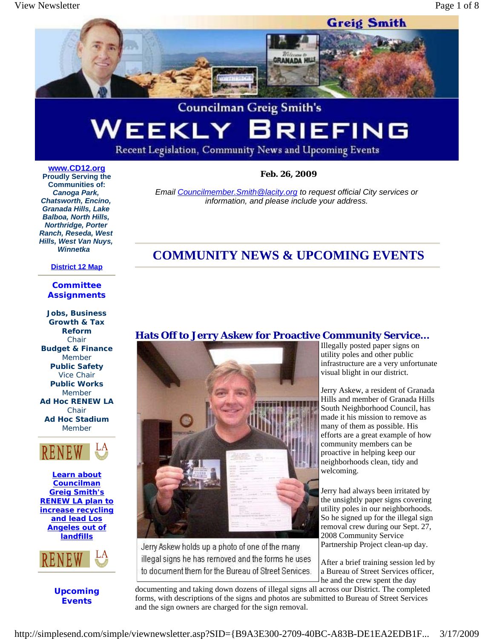

# **Councilman Greig Smith's** WEEKLY BRIEFING

Recent Legislation, Community News and Upcoming Events

## **www.CD12.org**

 **Feb. 26, 2009**

*Email Councilmember.Smith@lacity.org to request official City services or information, and please include your address.*

**Proudly Serving the Communities of:**  *Canoga Park, Chatsworth, Encino, Granada Hills, Lake Balboa, North Hills, Northridge, Porter Ranch, Reseda, West Hills, West Van Nuys, Winnetka*

#### **District 12 Map**

#### **Committee Assignments**

**Jobs, Business Growth & Tax Reform**  Chair **Budget & Finance**  Member **Public Safety**  Vice Chair **Public Works** Member **Ad Hoc RENEW LA**  Chair **Ad Hoc Stadium**  Member



**Learn about Councilman Greig Smith's RENEW LA plan to increase recycling and lead Los Angeles out of landfills**



**Upcoming Events**

# **COMMUNITY NEWS & UPCOMING EVENTS**

## **Hats Off to Jerry Askew for Proactive Community Service...**



Jerry Askew holds up a photo of one of the many illegal signs he has removed and the forms he uses to document them for the Bureau of Street Services. Illegally posted paper signs on utility poles and other public infrastructure are a very unfortunate visual blight in our district.

Jerry Askew, a resident of Granada Hills and member of Granada Hills South Neighborhood Council, has made it his mission to remove as many of them as possible. His efforts are a great example of how community members can be proactive in helping keep our neighborhoods clean, tidy and welcoming.

Jerry had always been irritated by the unsightly paper signs covering utility poles in our neighborhoods. So he signed up for the illegal sign removal crew during our Sept. 27, 2008 Community Service Partnership Project clean-up day.

After a brief training session led by a Bureau of Street Services officer, he and the crew spent the day

documenting and taking down dozens of illegal signs all across our District. The completed forms, with descriptions of the signs and photos are submitted to Bureau of Street Services and the sign owners are charged for the sign removal.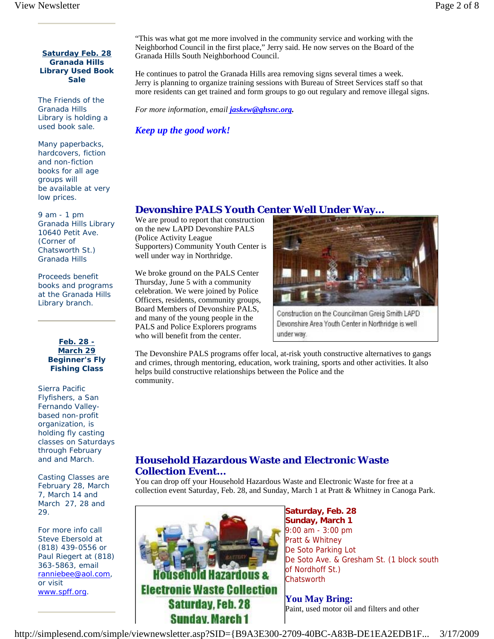#### **Saturday Feb. 28 Granada Hills Library Used Book Sale**

The Friends of the Granada Hills Library is holding a used book sale.

Many paperbacks, hardcovers, fiction and non-fiction books for all age groups will be available at very low prices.

9 am - 1 pm Granada Hills Library 10640 Petit Ave. (Corner of Chatsworth St.) Granada Hills

Proceeds benefit books and programs at the Granada Hills Library branch.

> **Feb. 28 - March 29 Beginner's Fly Fishing Class**

Sierra Pacific Flyfishers, a San Fernando Valleybased non-profit organization, is holding fly casting classes on Saturdays through February and and March.

Casting Classes are February 28, March 7, March 14 and March 27, 28 and 29.

For more info call Steve Ebersold at (818) 439-0556 or Paul Riegert at (818) 363-5863, email ranniebee@aol.com, or visit www.spff.org.

"This was what got me more involved in the community service and working with the Neighborhod Council in the first place," Jerry said. He now serves on the Board of the Granada Hills South Neighborhood Council.

He continues to patrol the Granada Hills area removing signs several times a week. Jerry is planning to organize training sessions with Bureau of Street Services staff so that more residents can get trained and form groups to go out regulary and remove illegal signs.

*For more information, email jaskew@ghsnc.org.*

*Keep up the good work!* 

# **Devonshire PALS Youth Center Well Under Way...**

We are proud to report that construction on the new LAPD Devonshire PALS (Police Activity League Supporters) Community Youth Center is well under way in Northridge.

We broke ground on the PALS Center Thursday, June 5 with a community celebration. We were joined by Police Officers, residents, community groups, Board Members of Devonshire PALS, and many of the young people in the PALS and Police Explorers programs who will benefit from the center.



Construction on the Councilman Greig Smith LAPD Devonshire Area Youth Center in Northridge is well under way.

The Devonshire PALS programs offer local, at-risk youth constructive alternatives to gangs and crimes, through mentoring, education, work training, sports and other activities. It also helps build constructive relationships between the Police and the community.

# **Household Hazardous Waste and Electronic Waste Collection Event...**

You can drop off your Household Hazardous Waste and Electronic Waste for free at a collection event Saturday, Feb. 28, and Sunday, March 1 at Pratt & Whitney in Canoga Park.



**Saturday, Feb. 28 Sunday, March 1**  9:00 am - 3:00 pm Pratt & Whitney De Soto Parking Lot De Soto Ave. & Gresham St. (1 block south of Nordhoff St.) **Chatsworth** 

**You May Bring:**  Paint, used motor oil and filters and other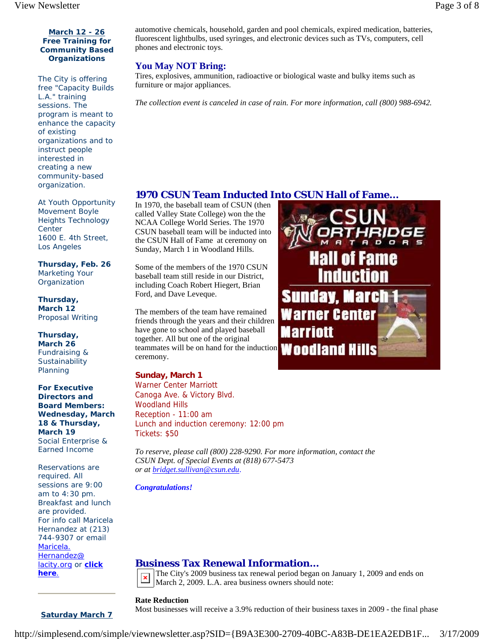#### **March 12 - 26 Free Training for Community Based Organizations**

The City is offering free "Capacity Builds L.A." training sessions. The program is meant to enhance the capacity of existing organizations and to instruct people interested in creating a new community-based organization.

At Youth Opportunity Movement Boyle Heights Technology **Center** 1600 E. 4th Street, Los Angeles

**Thursday, Feb. 26**  Marketing Your **Organization** 

**Thursday, March 12**  Proposal Writing

**Thursday, March 26**  Fundraising & **Sustainability** Planning

**For Executive Directors and Board Members: Wednesday, March 18 & Thursday, March 19**  Social Enterprise & Earned Income

Reservations are required. All sessions are 9:00 am to 4:30 pm. Breakfast and lunch are provided. For info call Maricela Hernandez at (213) 744-9307 or email Maricela. Hernandez@ lacity.org or **click here**.

**Saturday March 7**

automotive chemicals, household, garden and pool chemicals, expired medication, batteries, fluorescent lightbulbs, used syringes, and electronic devices such as TVs, computers, cell phones and electronic toys.

## **You May NOT Bring:**

Tires, explosives, ammunition, radioactive or biological waste and bulky items such as furniture or major appliances.

*The collection event is canceled in case of rain. For more information, call (800) 988-6942.* 

## **1970 CSUN Team Inducted Into CSUN Hall of Fame...**

In 1970, the baseball team of CSUN (then called Valley State College) won the the NCAA College World Series. The 1970 CSUN baseball team will be inducted into the CSUN Hall of Fame at ceremony on Sunday, March 1 in Woodland Hills.

Some of the members of the 1970 CSUN baseball team still reside in our District, including Coach Robert Hiegert, Brian Ford, and Dave Leveque.

The members of the team have remained friends through the years and their children have gone to school and played baseball together. All but one of the original teammates will be on hand for the induction ceremony.

## **Sunday, March 1**

Warner Center Marriott Canoga Ave. & Victory Blvd. Woodland Hills Reception - 11:00 am Lunch and induction ceremony: 12:00 pm Tickets: \$50

*To reserve, please call (800) 228-9290. For more information, contact the CSUN Dept. of Special Events at (818) 677-5473 or at bridget.sullivan@csun.edu*.

*Congratulations!*

# **Business Tax Renewal Information...**

The City's 2009 business tax renewal period began on January 1, 2009 and ends on March 2, 2009. L.A. area business owners should note:

### **Rate Reduction**

Most businesses will receive a 3.9% reduction of their business taxes in 2009 - the final phase



http://simplesend.com/simple/viewnewsletter.asp?SID={B9A3E300-2709-40BC-A83B-DE1EA2EDB1F... 3/17/2009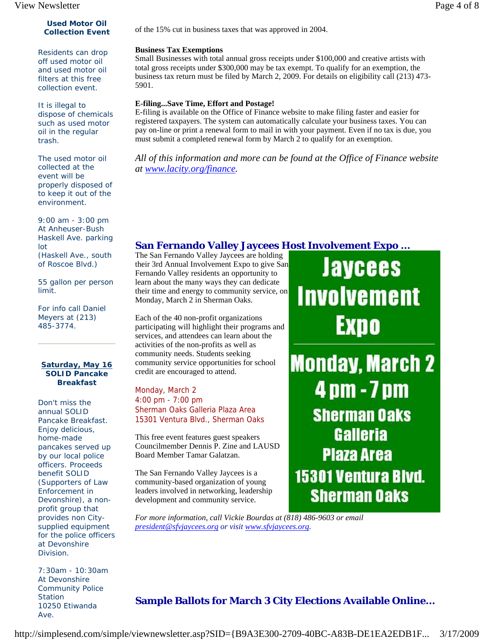#### **Used Motor Oil Collection Event**

Residents can drop off used motor oil and used motor oil filters at this free collection event.

It is illegal to dispose of chemicals such as used motor oil in the regular trash.

The used motor oil collected at the event will be properly disposed of to keep it out of the environment.

9:00 am - 3:00 pm At Anheuser-Bush Haskell Ave. parking lot (Haskell Ave., south of Roscoe Blvd.)

55 gallon per person limit.

For info call Daniel Meyers at (213) 485-3774.

#### **Saturday, May 16 SOLID Pancake Breakfast**

Don't miss the annual SOLID Pancake Breakfast. Enjoy delicious, home-made pancakes served up by our local police officers. Proceeds benefit SOLID (Supporters of Law Enforcement in Devonshire), a nonprofit group that provides non Citysupplied equipment for the police officers at Devonshire Division.

7:30am - 10:30am At Devonshire Community Police **Station** 10250 Etiwanda Ave.

of the 15% cut in business taxes that was approved in 2004.

#### **Business Tax Exemptions**

Small Businesses with total annual gross receipts under \$100,000 and creative artists with total gross receipts under \$300,000 may be tax exempt. To qualify for an exemption, the business tax return must be filed by March 2, 2009. For details on eligibility call (213) 473- 5901.

#### **E-filing...Save Time, Effort and Postage!**

E-filing is available on the Office of Finance website to make filing faster and easier for registered taxpayers. The system can automatically calculate your business taxes. You can pay on-line or print a renewal form to mail in with your payment. Even if no tax is due, you must submit a completed renewal form by March 2 to qualify for an exemption.

*All of this information and more can be found at the Office of Finance website at www.lacity.org/finance.* 

# **San Fernando Valley Jaycees Host Involvement Expo ...**

The San Fernando Valley Jaycees are holding their 3rd Annual Involvement Expo to give San Fernando Valley residents an opportunity to learn about the many ways they can dedicate their time and energy to community service, on Monday, March 2 in Sherman Oaks.

Each of the 40 non-profit organizations participating will highlight their programs and services, and attendees can learn about the activities of the non-profits as well as community needs. Students seeking community service opportunities for school credit are encouraged to attend.

Monday, March 2 4:00 pm - 7:00 pm Sherman Oaks Galleria Plaza Area 15301 Ventura Blvd., Sherman Oaks

This free event features guest speakers Councilmember Dennis P. Zine and LAUSD Board Member Tamar Galatzan.

The San Fernando Valley Jaycees is a community-based organization of young leaders involved in networking, leadership development and community service.

*For more information, call Vickie Bourdas at (818) 486-9603 or email president@sfvjaycees.org or visit www.sfvjaycees.org.* 

Jaycees **Involvement** Expo

**Monday, March 2** 4 pm - 7 pm **Sherman Oaks Galleria Plaza Area** 15301 Ventura Blvd. **Sherman Oaks** 

# **Sample Ballots for March 3 City Elections Available Online...**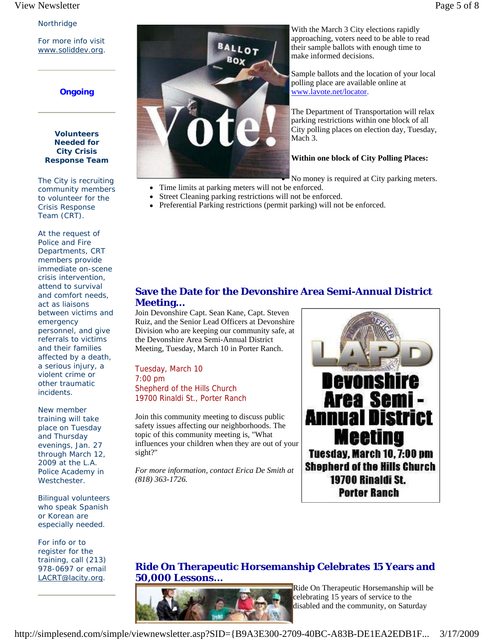#### View Newsletter Page 5 of 8

#### Northridge

For more info visit www.soliddev.org.

### **Ongoing**

#### **Volunteers Needed for City Crisis Response Team**

The City is recruiting community members to volunteer for the Crisis Response Team (CRT).

At the request of Police and Fire Departments, CRT members provide immediate on-scene crisis intervention, attend to survival and comfort needs, act as liaisons between victims and emergency personnel, and give referrals to victims and their families affected by a death, a serious injury, a violent crime or other traumatic incidents.

New member training will take place on Tuesday and Thursday evenings, Jan. 27 through March 12, 2009 at the L.A. Police Academy in Westchester.

Bilingual volunteers who speak Spanish or Korean are especially needed.

For info or to register for the training, call (213) 978-0697 or email LACRT@lacity.org.



With the March 3 City elections rapidly approaching, voters need to be able to read their sample ballots with enough time to make informed decisions.

Sample ballots and the location of your local polling place are available online at www.lavote.net/locator.

The Department of Transportation will relax parking restrictions within one block of all City polling places on election day, Tuesday, Mach 3.

#### **Within one block of City Polling Places:**

No money is required at City parking meters.

- Time limits at parking meters will not be enforced.
- Street Cleaning parking restrictions will not be enforced.
- Preferential Parking restrictions (permit parking) will not be enforced.

## **Save the Date for the Devonshire Area Semi-Annual District Meeting...**

Join Devonshire Capt. Sean Kane, Capt. Steven Ruiz, and the Senior Lead Officers at Devonshire Division who are keeping our community safe, at the Devonshire Area Semi-Annual District Meeting, Tuesday, March 10 in Porter Ranch.

Tuesday, March 10 7:00 pm Shepherd of the Hills Church 19700 Rinaldi St., Porter Ranch

Join this community meeting to discuss public safety issues affecting our neighborhoods. The topic of this community meeting is, "What influences your children when they are out of your sight?"

*For more information, contact Erica De Smith at (818) 363-1726.*



## **Ride On Therapeutic Horsemanship Celebrates 15 Years and 50,000 Lessons...**



Ride On Therapeutic Horsemanship will be celebrating 15 years of service to the disabled and the community, on Saturday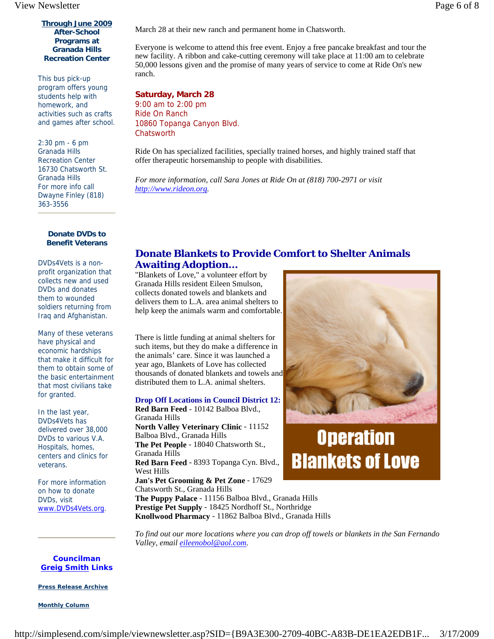#### **Through June 2009 After-School Programs at Granada Hills Recreation Center**

This bus pick-up program offers young students help with homework, and activities such as crafts and games after school.

2:30 pm - 6 pm Granada Hills Recreation Center 16730 Chatsworth St. Granada Hills For more info call Dwayne Finley (818) 363-3556

> **Donate DVDs to Benefit Veterans**

DVDs4Vets is a nonprofit organization that collects new and used DVDs and donates them to wounded soldiers returning from Iraq and Afghanistan.

Many of these veterans have physical and economic hardships that make it difficult for them to obtain some of the basic entertainment that most civilians take for granted.

In the last year, DVDs4Vets has delivered over 38,000 DVDs to various V.A. Hospitals, homes, centers and clinics for veterans.

For more information on how to donate DVDs, visit www.DVDs4Vets.org.

March 28 at their new ranch and permanent home in Chatsworth.

Everyone is welcome to attend this free event. Enjoy a free pancake breakfast and tour the new facility. A ribbon and cake-cutting ceremony will take place at 11:00 am to celebrate 50,000 lessons given and the promise of many years of service to come at Ride On's new ranch.

**Saturday, March 28** 9:00 am to 2:00 pm Ride On Ranch 10860 Topanga Canyon Blvd. **Chatsworth** 

Ride On has specialized facilities, specially trained horses, and highly trained staff that offer therapeutic horsemanship to people with disabilities.

*For more information, call Sara Jones at Ride On at (818) 700-2971 or visit http://www.rideon.org.* 

## **Donate Blankets to Provide Comfort to Shelter Animals Awaiting Adoption...**

"Blankets of Love," a volunteer effort by Granada Hills resident Eileen Smulson, collects donated towels and blankets and delivers them to L.A. area animal shelters to help keep the animals warm and comfortable.

There is little funding at animal shelters for such items, but they do make a difference in the animals' care. Since it was launched a year ago, Blankets of Love has collected thousands of donated blankets and towels and distributed them to L.A. animal shelters.

**Drop Off Locations in Council District 12: Red Barn Feed** - 10142 Balboa Blvd., Granada Hills **North Valley Veterinary Clinic** - 11152 Balboa Blvd., Granada Hills **The Pet People** - 18040 Chatsworth St., Granada Hills **Red Barn Feed** - 8393 Topanga Cyn. Blvd., West Hills **Jan's Pet Grooming & Pet Zone** - 17629 Chatsworth St., Granada Hills



# **Operation Blankets of Love**

**The Puppy Palace** - 11156 Balboa Blvd., Granada Hills **Prestige Pet Supply** - 18425 Nordhoff St., Northridge **Knollwood Pharmacy** - 11862 Balboa Blvd., Granada Hills

*To find out our more locations where you can drop off towels or blankets in the San Fernando Valley, email eileenobol@aol.com.* 

**Councilman Greig Smith Links**

**Press Release Archive**

**Monthly Column**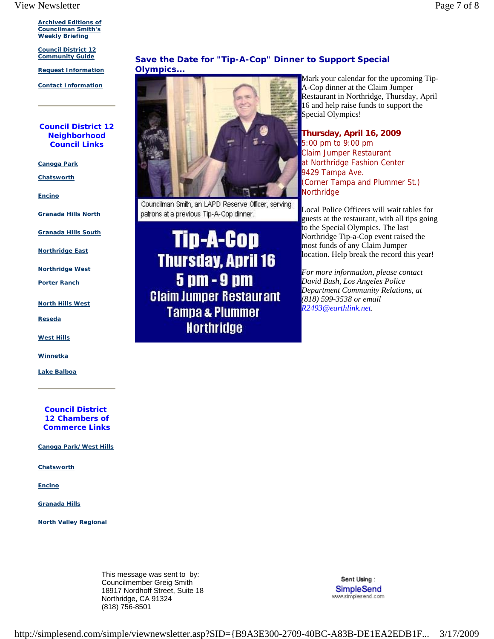**Archived Editions of Councilman Smith's Weekly Briefing** 

**Council District 12 Community Guide**

**Request Information**

**Contact Information**

#### **Council District 12 Neighborhood Council Links**

**Canoga Park**

**Chatsworth**

**Encino**

**Granada Hills North**

**Granada Hills South**

**Northridge East**

**Northridge West**

**Porter Ranch**

**North Hills West**

**Reseda**

**West Hills**

**Winnetka**

**Lake Balboa**

**Council District 12 Chambers of Commerce Links**

**Canoga Park/West Hills**

**Chatsworth**

**Encino**

**Granada Hills**

**North Valley Regional**

This message was sent to by: Councilmember Greig Smith 18917 Nordhoff Street, Suite 18 Northridge, CA 91324 (818) 756-8501

**Save the Date for "Tip-A-Cop" Dinner to Support Special Olympics...** 



Councilman Smith, an LAPD Reserve Officer, serving patrons at a previous Tip-A-Cop dinner.

Tip-A-Cop **Thursday, April 16** 5 pm - 9 pm **Claim Jumper Restaurant Tampa & Plummer Northridge** 

Mark your calendar for the upcoming Tip-A-Cop dinner at the Claim Jumper Restaurant in Northridge, Thursday, April 16 and help raise funds to support the Special Olympics!

**Thursday, April 16, 2009**  5:00 pm to 9:00 pm Claim Jumper Restaurant at Northridge Fashion Center 9429 Tampa Ave. (Corner Tampa and Plummer St.) **Northridge** 

Local Police Officers will wait tables for guests at the restaurant, with all tips going to the Special Olympics. The last Northridge Tip-a-Cop event raised the most funds of any Claim Jumper location. Help break the record this year!

*For more information, please contact David Bush, Los Angeles Police Department Community Relations, at (818) 599-3538 or email R2493@earthlink.net.* 

> Sent Using: SimpleSend www.simplesend.com